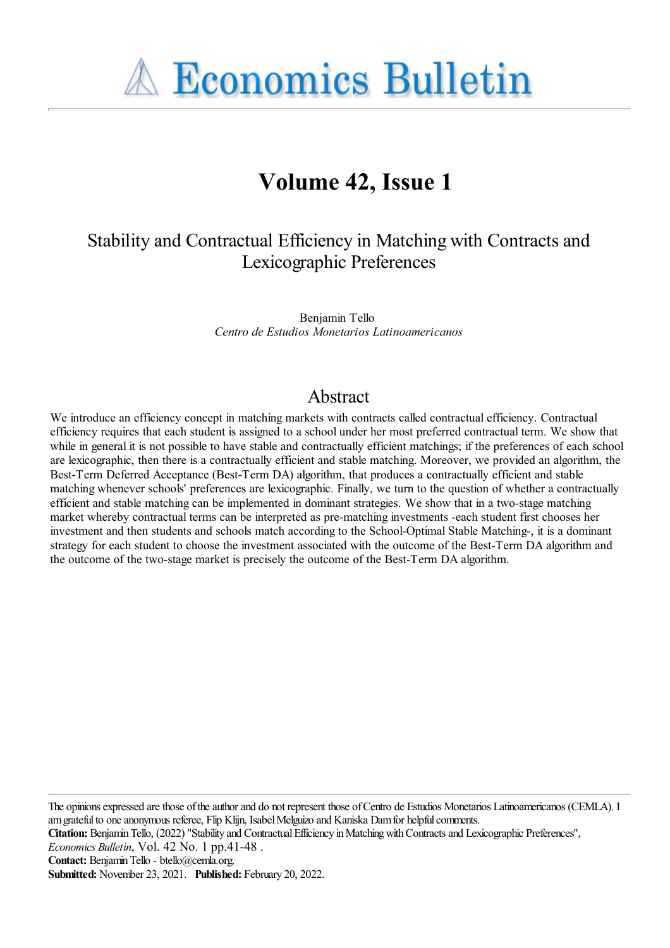**A Economics Bulletin** 

# **Volume 42, Issue 1**

# Stability and Contractual Efficiency in Matching with Contracts and Lexicographic Preferences

Benjamin Tello *Centro de Estudios Monetarios Latinoamericanos*

### Abstract

We introduce an efficiency concept in matching markets with contracts called contractual efficiency. Contractual efficiency requires that each student is assigned to a school under her most preferred contractual term. We show that while in general it is not possible to have stable and contractually efficient matchings; if the preferences of each school are lexicographic, then there is a contractually efficient and stable matching. Moreover, we provided an algorithm, the Best-Term Deferred Acceptance (Best-Term DA) algorithm, that produces a contractually efficient and stable matching whenever schools' preferences are lexicographic. Finally, we turn to the question of whether a contractually efficient and stable matching can be implemented in dominant strategies. We show that in a two-stage matching market whereby contractual terms can be interpreted as pre-matching investments -each student first chooses her investment and then students and schools match according to the School-Optimal Stable Matching-, it is a dominant strategy for each student to choose the investment associated with the outcome of the Best-Term DA algorithm and the outcome of the two-stage market is precisely the outcome of the Best-Term DA algorithm.

The opinions expressed are those of the author and do not represent those of Centro de Estudios Monetarios Latinoamericanos (CEMLA). I am grateful to one anonymous referee, Flip Klijn, Isabel Melguizo and Kaniska Dam for helpful comments.

Citation: Benjamin Tello, (2022) "Stability and Contractual Efficiency in Matching with Contracts and Lexicographic Preferences",

*Economics Bulletin*, Vol. 42 No. 1 pp.41-48 .

Contact: Benjamin Tello - btello@cemla.org.

**Submitted:** November 23, 2021. **Published:** February 20, 2022.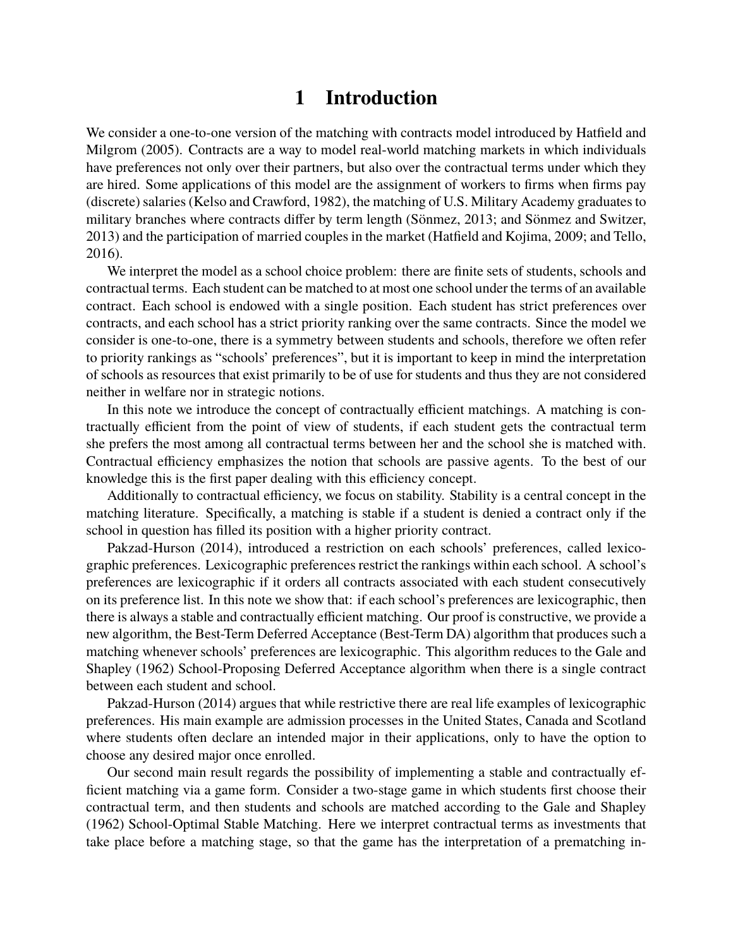# **1 Introduction**

We consider a one-to-one version of the matching with contracts model introduced by Hatfield and Milgrom (2005). Contracts are a way to model real-world matching markets in which individuals have preferences not only over their partners, but also over the contractual terms under which they are hired. Some applications of this model are the assignment of workers to firms when firms pay (discrete) salaries (Kelso and Crawford, 1982), the matching of U.S. Military Academy graduates to military branches where contracts differ by term length (Sönmez, 2013; and Sönmez and Switzer, 2013) and the participation of married couples in the market (Hatfield and Kojima, 2009; and Tello, 2016).

We interpret the model as a school choice problem: there are finite sets of students, schools and contractual terms. Each student can be matched to at most one school under the terms of an available contract. Each school is endowed with a single position. Each student has strict preferences over contracts, and each school has a strict priority ranking over the same contracts. Since the model we consider is one-to-one, there is a symmetry between students and schools, therefore we often refer to priority rankings as "schools' preferences", but it is important to keep in mind the interpretation of schools as resources that exist primarily to be of use for students and thus they are not considered neither in welfare nor in strategic notions.

In this note we introduce the concept of contractually efficient matchings. A matching is contractually efficient from the point of view of students, if each student gets the contractual term she prefers the most among all contractual terms between her and the school she is matched with. Contractual efficiency emphasizes the notion that schools are passive agents. To the best of our knowledge this is the first paper dealing with this efficiency concept.

Additionally to contractual efficiency, we focus on stability. Stability is a central concept in the matching literature. Specifically, a matching is stable if a student is denied a contract only if the school in question has filled its position with a higher priority contract.

Pakzad-Hurson (2014), introduced a restriction on each schools' preferences, called lexicographic preferences. Lexicographic preferences restrict the rankings within each school. A school's preferences are lexicographic if it orders all contracts associated with each student consecutively on its preference list. In this note we show that: if each school's preferences are lexicographic, then there is always a stable and contractually efficient matching. Our proof is constructive, we provide a new algorithm, the Best-Term Deferred Acceptance (Best-Term DA) algorithm that produces such a matching whenever schools' preferences are lexicographic. This algorithm reduces to the Gale and Shapley (1962) School-Proposing Deferred Acceptance algorithm when there is a single contract between each student and school.

Pakzad-Hurson (2014) argues that while restrictive there are real life examples of lexicographic preferences. His main example are admission processes in the United States, Canada and Scotland where students often declare an intended major in their applications, only to have the option to choose any desired major once enrolled.

Our second main result regards the possibility of implementing a stable and contractually efficient matching via a game form. Consider a two-stage game in which students first choose their contractual term, and then students and schools are matched according to the Gale and Shapley (1962) School-Optimal Stable Matching. Here we interpret contractual terms as investments that take place before a matching stage, so that the game has the interpretation of a prematching in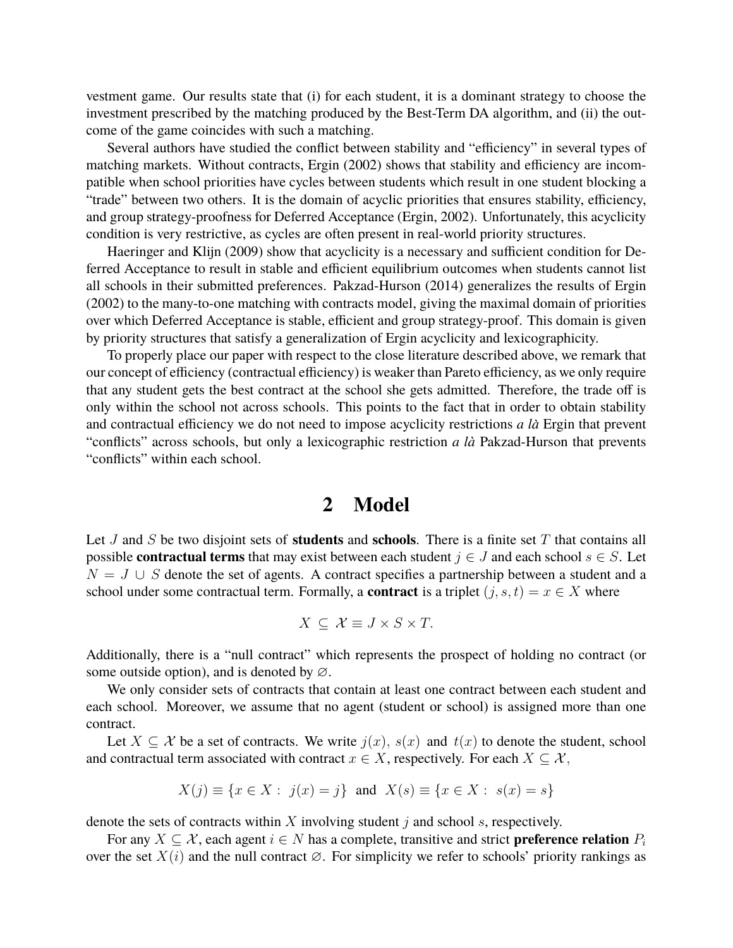vestment game. Our results state that (i) for each student, it is a dominant strategy to choose the investment prescribed by the matching produced by the Best-Term DA algorithm, and (ii) the outcome of the game coincides with such a matching.

Several authors have studied the conflict between stability and "efficiency" in several types of matching markets. Without contracts, Ergin (2002) shows that stability and efficiency are incompatible when school priorities have cycles between students which result in one student blocking a "trade" between two others. It is the domain of acyclic priorities that ensures stability, efficiency, and group strategy-proofness for Deferred Acceptance (Ergin, 2002). Unfortunately, this acyclicity condition is very restrictive, as cycles are often present in real-world priority structures.

Haeringer and Klijn (2009) show that acyclicity is a necessary and sufficient condition for Deferred Acceptance to result in stable and efficient equilibrium outcomes when students cannot list all schools in their submitted preferences. Pakzad-Hurson (2014) generalizes the results of Ergin (2002) to the many-to-one matching with contracts model, giving the maximal domain of priorities over which Deferred Acceptance is stable, efficient and group strategy-proof. This domain is given by priority structures that satisfy a generalization of Ergin acyclicity and lexicographicity.

To properly place our paper with respect to the close literature described above, we remark that our concept of efficiency (contractual efficiency) is weaker than Pareto efficiency, as we only require that any student gets the best contract at the school she gets admitted. Therefore, the trade off is only within the school not across schools. This points to the fact that in order to obtain stability and contractual efficiency we do not need to impose acyclicity restrictions *a la`* Ergin that prevent "conflicts" across schools, but only a lexicographic restriction *a la`* Pakzad-Hurson that prevents "conflicts" within each school.

### **2 Model**

Let J and S be two disjoint sets of **students** and **schools**. There is a finite set T that contains all possible **contractual terms** that may exist between each student  $j \in J$  and each school  $s \in S$ . Let  $N = J \cup S$  denote the set of agents. A contract specifies a partnership between a student and a school under some contractual term. Formally, a **contract** is a triplet  $(j, s, t) = x \in X$  where

$$
X \subseteq \mathcal{X} \equiv J \times S \times T.
$$

Additionally, there is a "null contract" which represents the prospect of holding no contract (or some outside option), and is denoted by ∅.

We only consider sets of contracts that contain at least one contract between each student and each school. Moreover, we assume that no agent (student or school) is assigned more than one contract.

Let  $X \subseteq \mathcal{X}$  be a set of contracts. We write  $j(x)$ ,  $s(x)$  and  $t(x)$  to denote the student, school and contractual term associated with contract  $x \in X$ , respectively. For each  $X \subset \mathcal{X}$ ,

$$
X(j) \equiv \{x \in X : j(x) = j\}
$$
 and  $X(s) \equiv \{x \in X : s(x) = s\}$ 

denote the sets of contracts within  $X$  involving student  $j$  and school  $s$ , respectively.

For any  $X \subseteq \mathcal{X}$ , each agent  $i \in N$  has a complete, transitive and strict **preference relation**  $P_i$ over the set  $X(i)$  and the null contract  $\varnothing$ . For simplicity we refer to schools' priority rankings as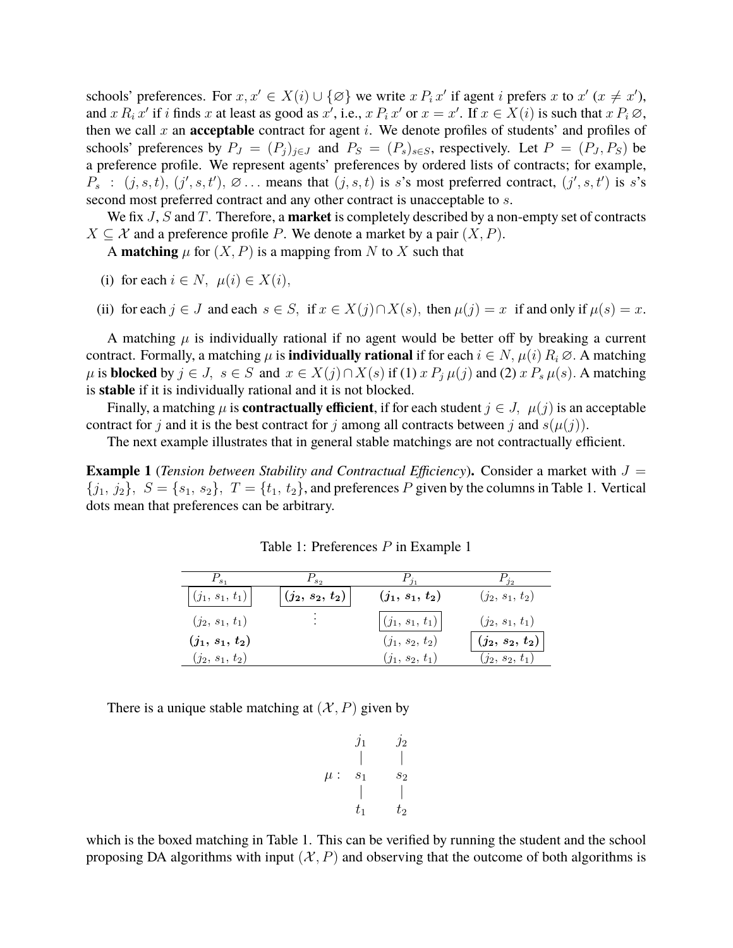schools' preferences. For  $x, x' \in X(i) \cup \{\emptyset\}$  we write  $x P_i x'$  if agent i prefers  $x$  to  $x' (x \neq x')$ , and x  $R_i$  x' if i finds x at least as good as x', i.e., x  $P_i$  x' or  $x = x'$ . If  $x \in X(i)$  is such that  $x P_i \varnothing$ , then we call  $x$  an **acceptable** contract for agent  $i$ . We denote profiles of students' and profiles of schools' preferences by  $P_J = (P_j)_{j \in J}$  and  $P_S = (P_s)_{s \in S}$ , respectively. Let  $P = (P_J, P_S)$  be a preference profile. We represent agents' preferences by ordered lists of contracts; for example,  $P_s$ :  $(j, s, t)$ ,  $(j', s, t')$ ,  $\varnothing$ ... means that  $(j, s, t)$  is s's most preferred contract,  $(j', s, t')$  is s's second most preferred contract and any other contract is unacceptable to  $s$ .

We fix J, S and T. Therefore, a **market** is completely described by a non-empty set of contracts  $X \subseteq \mathcal{X}$  and a preference profile P. We denote a market by a pair  $(X, P)$ .

A **matching**  $\mu$  for  $(X, P)$  is a mapping from N to X such that

- (i) for each  $i \in N$ ,  $\mu(i) \in X(i)$ ,
- (ii) for each  $j \in J$  and each  $s \in S$ , if  $x \in X(j) \cap X(s)$ , then  $\mu(j) = x$  if and only if  $\mu(s) = x$ .

A matching  $\mu$  is individually rational if no agent would be better off by breaking a current contract. Formally, a matching  $\mu$  is **individually rational** if for each  $i \in N$ ,  $\mu(i) R_i \varnothing$ . A matching  $\mu$  is **blocked** by  $j \in J$ ,  $s \in S$  and  $x \in X(j) \cap X(s)$  if (1)  $x P_j \mu(j)$  and (2)  $x P_s \mu(s)$ . A matching is **stable** if it is individually rational and it is not blocked.

Finally, a matching  $\mu$  is **contractually efficient**, if for each student  $j \in J$ ,  $\mu(j)$  is an acceptable contract for j and it is the best contract for j among all contracts between j and  $s(\mu(j))$ .

The next example illustrates that in general stable matchings are not contractually efficient.

**Example 1** (*Tension between Stability and Contractual Efficiency*). Consider a market with  $J =$  $\{j_1, j_2\}, S = \{s_1, s_2\}, T = \{t_1, t_2\}$ , and preferences P given by the columns in Table 1. Vertical dots mean that preferences can be arbitrary.

| $\mathbf{r}_{s_1}$  | $\Gamma_{S2}$     |                   | $F_{j_2}$           |
|---------------------|-------------------|-------------------|---------------------|
| $ (j_1, s_1, t_1) $ | $(j_2, s_2, t_2)$ | $(j_1, s_1, t_2)$ | $(j_2, s_1, t_2)$   |
| $(j_2, s_1, t_1)$   | ٠                 | $(j_1, s_1, t_1)$ | $(j_2, s_1, t_1)$   |
| $(j_1, s_1, t_2)$   |                   | $(j_1, s_2, t_2)$ | $(j_2,\,s_2,\,t_2)$ |
| $(j_2, s_1, t_2)$   |                   | $(j_1, s_2, t_1)$ | $(j_2, s_2, t_1)$   |

Table 1: Preferences P in Example 1

There is a unique stable matching at  $(\mathcal{X}, P)$  given by

$$
\begin{array}{ccccc}\nj_1 & & j_2 \\
& | & | & \\
\mu: & s_1 & s_2 \\
& & | & | & \\
t_1 & & t_2\n\end{array}
$$

which is the boxed matching in Table 1. This can be verified by running the student and the school proposing DA algorithms with input  $(X, P)$  and observing that the outcome of both algorithms is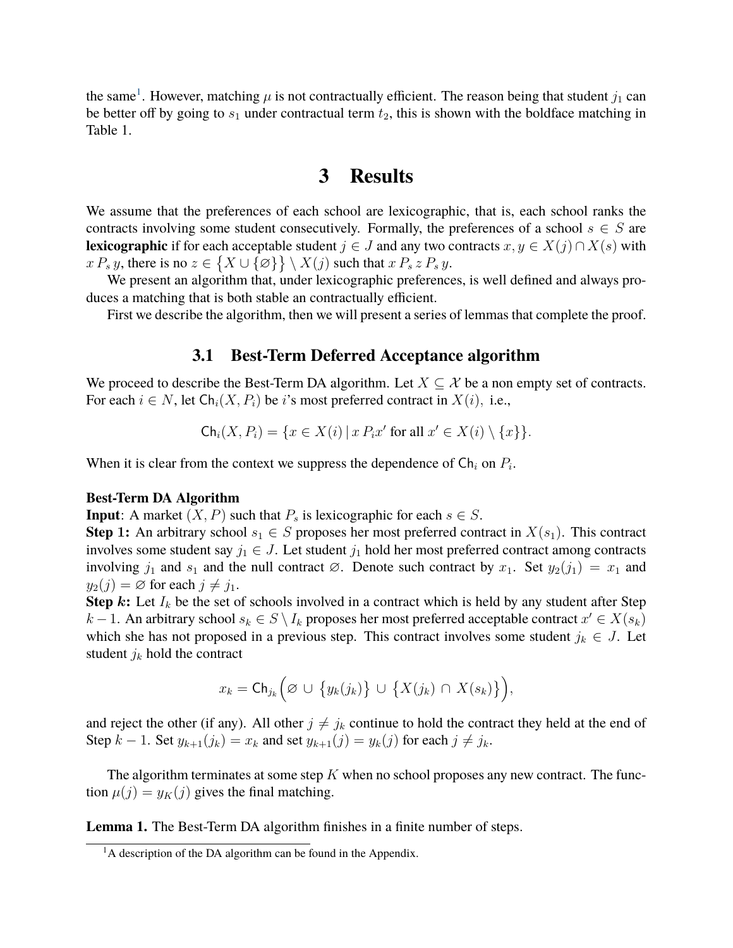the same<sup>[1](#page-4-0)</sup>. However, matching  $\mu$  is not contractually efficient. The reason being that student  $j_1$  can be better off by going to  $s_1$  under contractual term  $t_2$ , this is shown with the boldface matching in Table 1.

### **3 Results**

We assume that the preferences of each school are lexicographic, that is, each school ranks the contracts involving some student consecutively. Formally, the preferences of a school  $s \in S$  are **lexicographic** if for each acceptable student  $j \in J$  and any two contracts  $x, y \in X(j) \cap X(s)$  with  $x P_s y$ , there is no  $z \in \{X \cup \{\emptyset\}\} \setminus X(j)$  such that  $x P_s z P_s y$ .

We present an algorithm that, under lexicographic preferences, is well defined and always produces a matching that is both stable an contractually efficient.

First we describe the algorithm, then we will present a series of lemmas that complete the proof.

### **3.1 Best-Term Deferred Acceptance algorithm**

We proceed to describe the Best-Term DA algorithm. Let  $X \subseteq \mathcal{X}$  be a non empty set of contracts. For each  $i \in N$ , let  $\text{Ch}_i(X, P_i)$  be i's most preferred contract in  $X(i)$ , i.e.,

$$
\mathsf{Ch}_i(X, P_i) = \{ x \in X(i) \mid x \, P_i x' \text{ for all } x' \in X(i) \setminus \{x\} \}.
$$

When it is clear from the context we suppress the dependence of  $\mathsf{Ch}_i$  on  $P_i$ .

#### **Best-Term DA Algorithm**

**Input**: A market  $(X, P)$  such that  $P_s$  is lexicographic for each  $s \in S$ .

**Step 1:** An arbitrary school  $s_1 \in S$  proposes her most preferred contract in  $X(s_1)$ . This contract involves some student say  $j_1 \in J$ . Let student  $j_1$  hold her most preferred contract among contracts involving  $j_1$  and  $s_1$  and the null contract  $\varnothing$ . Denote such contract by  $x_1$ . Set  $y_2(j_1) = x_1$  and  $y_2(j) = \emptyset$  for each  $j \neq j_1$ .

**Step** k: Let  $I_k$  be the set of schools involved in a contract which is held by any student after Step  $k-1$ . An arbitrary school  $s_k \in S \setminus I_k$  proposes her most preferred acceptable contract  $x' \in X(s_k)$ which she has not proposed in a previous step. This contract involves some student  $j_k \in J$ . Let student  $j_k$  hold the contract

$$
x_k = \mathsf{Ch}_{j_k} \Big( \varnothing \,\cup \,\big\{ y_k(j_k) \big\} \,\cup \,\big\{ X(j_k) \,\cap \,X(s_k) \big\} \Big),
$$

and reject the other (if any). All other  $j \neq j_k$  continue to hold the contract they held at the end of Step  $k - 1$ . Set  $y_{k+1}(j_k) = x_k$  and set  $y_{k+1}(j) = y_k(j)$  for each  $j \neq j_k$ .

The algorithm terminates at some step  $K$  when no school proposes any new contract. The function  $\mu(j) = y_K(j)$  gives the final matching.

**Lemma 1.** The Best-Term DA algorithm finishes in a finite number of steps.

<span id="page-4-0"></span> ${}^{1}$ A description of the DA algorithm can be found in the Appendix.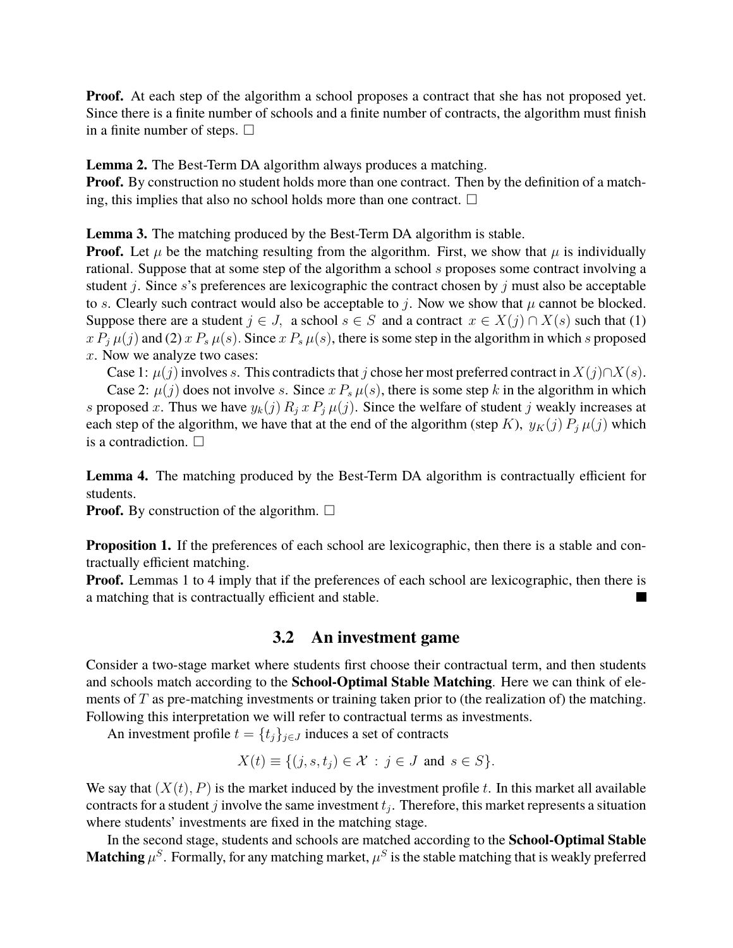**Proof.** At each step of the algorithm a school proposes a contract that she has not proposed yet. Since there is a finite number of schools and a finite number of contracts, the algorithm must finish in a finite number of steps.  $\square$ 

**Lemma 2.** The Best-Term DA algorithm always produces a matching.

**Proof.** By construction no student holds more than one contract. Then by the definition of a matching, this implies that also no school holds more than one contract.  $\Box$ 

**Lemma 3.** The matching produced by the Best-Term DA algorithm is stable.

**Proof.** Let  $\mu$  be the matching resulting from the algorithm. First, we show that  $\mu$  is individually rational. Suppose that at some step of the algorithm a school s proposes some contract involving a student j. Since s's preferences are lexicographic the contract chosen by j must also be acceptable to s. Clearly such contract would also be acceptable to j. Now we show that  $\mu$  cannot be blocked. Suppose there are a student  $j \in J$ , a school  $s \in S$  and a contract  $x \in X(j) \cap X(s)$  such that (1)  $x P_i \mu(j)$  and (2)  $x P_s \mu(s)$ . Since  $x P_s \mu(s)$ , there is some step in the algorithm in which s proposed x. Now we analyze two cases:

Case 1:  $\mu(j)$  involves s. This contradicts that j chose her most preferred contract in  $X(j) \cap X(s)$ .

Case 2:  $\mu(j)$  does not involve s. Since  $x P_s \mu(s)$ , there is some step k in the algorithm in which s proposed x. Thus we have  $y_k(j) R_j x P_j \mu(j)$ . Since the welfare of student j weakly increases at each step of the algorithm, we have that at the end of the algorithm (step K),  $y_K(j) P_i \mu(j)$  which is a contradiction.  $\square$ 

**Lemma 4.** The matching produced by the Best-Term DA algorithm is contractually efficient for students.

**Proof.** By construction of the algorithm.  $\Box$ 

**Proposition 1.** If the preferences of each school are lexicographic, then there is a stable and contractually efficient matching.

**Proof.** Lemmas 1 to 4 imply that if the preferences of each school are lexicographic, then there is a matching that is contractually efficient and stable. M

### **3.2 An investment game**

Consider a two-stage market where students first choose their contractual term, and then students and schools match according to the **School-Optimal Stable Matching**. Here we can think of elements of  $T$  as pre-matching investments or training taken prior to (the realization of) the matching. Following this interpretation we will refer to contractual terms as investments.

An investment profile  $t = \{t_j\}_{j \in J}$  induces a set of contracts

$$
X(t) \equiv \{ (j, s, t_j) \in \mathcal{X} : j \in J \text{ and } s \in S \}.
$$

We say that  $(X(t), P)$  is the market induced by the investment profile t. In this market all available contracts for a student j involve the same investment  $t_j$ . Therefore, this market represents a situation where students' investments are fixed in the matching stage.

In the second stage, students and schools are matched according to the **School-Optimal Stable Matching**  $\mu^S$  . Formally, for any matching market,  $\mu^S$  is the stable matching that is weakly preferred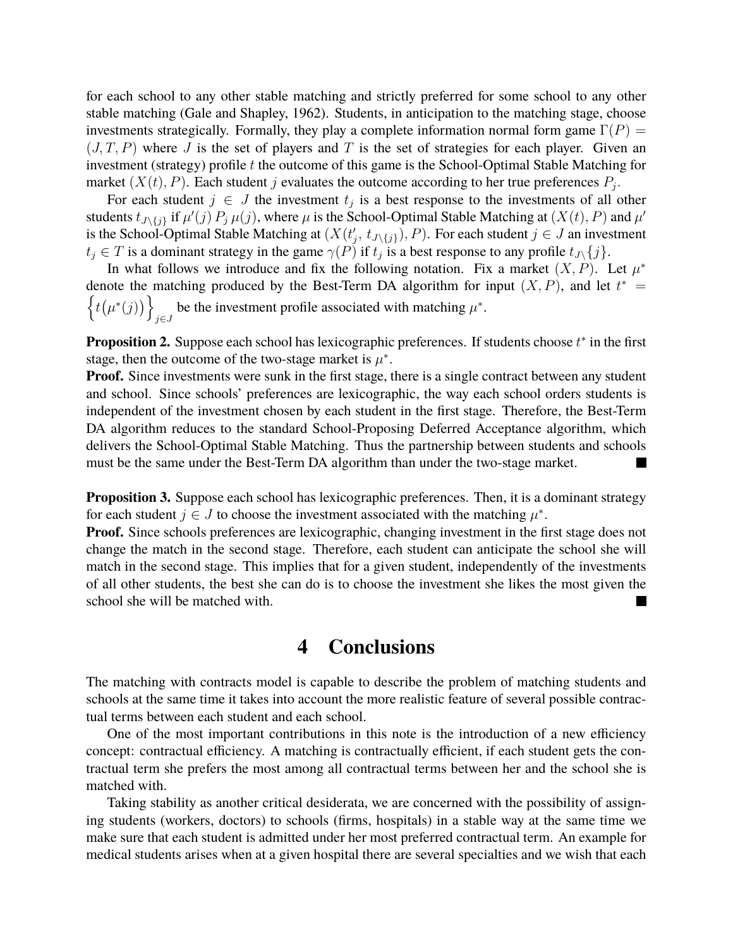for each school to any other stable matching and strictly preferred for some school to any other stable matching (Gale and Shapley, 1962). Students, in anticipation to the matching stage, choose investments strategically. Formally, they play a complete information normal form game  $\Gamma(P)$  =  $(J, T, P)$  where J is the set of players and T is the set of strategies for each player. Given an investment (strategy) profile  $t$  the outcome of this game is the School-Optimal Stable Matching for market  $(X(t), P)$ . Each student j evaluates the outcome according to her true preferences  $P_j$ .

For each student  $j \in J$  the investment  $t_j$  is a best response to the investments of all other students  $t_{J\setminus\{j\}}$  if  $\mu'(j) P_j \mu(j)$ , where  $\mu$  is the School-Optimal Stable Matching at  $(X(t), P)$  and  $\mu'$ is the School-Optimal Stable Matching at  $(X(t'_j, t_{J\setminus\{j\}}), P)$ . For each student  $j \in J$  an investment  $t_j \in T$  is a dominant strategy in the game  $\gamma(P)$  if  $t_j$  is a best response to any profile  $t_{J\setminus\{j\}}$ .

In what follows we introduce and fix the following notation. Fix a market  $(X, P)$ . Let  $\mu^*$ denote the matching produced by the Best-Term DA algorithm for input  $(X, P)$ , and let  $t^* =$  $\{t(\mu^*(j))\}$ be the investment profile associated with matching  $\mu^*$ .

**Proposition 2.** Suppose each school has lexicographic preferences. If students choose  $t^*$  in the first stage, then the outcome of the two-stage market is  $\mu^*$ .

**Proof.** Since investments were sunk in the first stage, there is a single contract between any student and school. Since schools' preferences are lexicographic, the way each school orders students is independent of the investment chosen by each student in the first stage. Therefore, the Best-Term DA algorithm reduces to the standard School-Proposing Deferred Acceptance algorithm, which delivers the School-Optimal Stable Matching. Thus the partnership between students and schools must be the same under the Best-Term DA algorithm than under the two-stage market.

**Proposition 3.** Suppose each school has lexicographic preferences. Then, it is a dominant strategy for each student  $j \in J$  to choose the investment associated with the matching  $\mu^*$ .

**Proof.** Since schools preferences are lexicographic, changing investment in the first stage does not change the match in the second stage. Therefore, each student can anticipate the school she will match in the second stage. This implies that for a given student, independently of the investments of all other students, the best she can do is to choose the investment she likes the most given the school she will be matched with.

### **4 Conclusions**

The matching with contracts model is capable to describe the problem of matching students and schools at the same time it takes into account the more realistic feature of several possible contractual terms between each student and each school.

One of the most important contributions in this note is the introduction of a new efficiency concept: contractual efficiency. A matching is contractually efficient, if each student gets the contractual term she prefers the most among all contractual terms between her and the school she is matched with.

Taking stability as another critical desiderata, we are concerned with the possibility of assigning students (workers, doctors) to schools (firms, hospitals) in a stable way at the same time we make sure that each student is admitted under her most preferred contractual term. An example for medical students arises when at a given hospital there are several specialties and we wish that each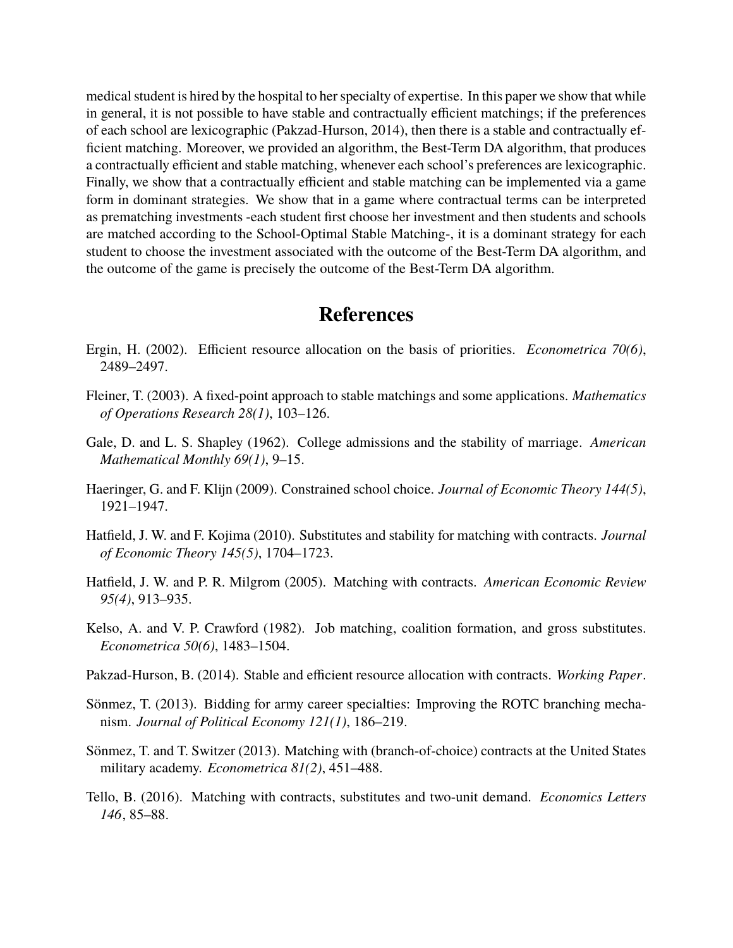medical student is hired by the hospital to her specialty of expertise. In this paper we show that while in general, it is not possible to have stable and contractually efficient matchings; if the preferences of each school are lexicographic (Pakzad-Hurson, 2014), then there is a stable and contractually efficient matching. Moreover, we provided an algorithm, the Best-Term DA algorithm, that produces a contractually efficient and stable matching, whenever each school's preferences are lexicographic. Finally, we show that a contractually efficient and stable matching can be implemented via a game form in dominant strategies. We show that in a game where contractual terms can be interpreted as prematching investments -each student first choose her investment and then students and schools are matched according to the School-Optimal Stable Matching-, it is a dominant strategy for each student to choose the investment associated with the outcome of the Best-Term DA algorithm, and the outcome of the game is precisely the outcome of the Best-Term DA algorithm.

# **References**

- Ergin, H. (2002). Efficient resource allocation on the basis of priorities. *Econometrica 70(6)*, 2489–2497.
- <span id="page-7-1"></span>Fleiner, T. (2003). A fixed-point approach to stable matchings and some applications. *Mathematics of Operations Research 28(1)*, 103–126.
- <span id="page-7-0"></span>Gale, D. and L. S. Shapley (1962). College admissions and the stability of marriage. *American Mathematical Monthly 69(1)*, 9–15.
- Haeringer, G. and F. Klijn (2009). Constrained school choice. *Journal of Economic Theory 144(5)*, 1921–1947.
- Hatfield, J. W. and F. Kojima (2010). Substitutes and stability for matching with contracts. *Journal of Economic Theory 145(5)*, 1704–1723.
- <span id="page-7-2"></span>Hatfield, J. W. and P. R. Milgrom (2005). Matching with contracts. *American Economic Review 95(4)*, 913–935.
- Kelso, A. and V. P. Crawford (1982). Job matching, coalition formation, and gross substitutes. *Econometrica 50(6)*, 1483–1504.
- <span id="page-7-3"></span>Pakzad-Hurson, B. (2014). Stable and efficient resource allocation with contracts. *Working Paper*.
- Sönmez, T. (2013). Bidding for army career specialties: Improving the ROTC branching mechanism. *Journal of Political Economy 121(1)*, 186–219.
- Sönmez, T. and T. Switzer (2013). Matching with (branch-of-choice) contracts at the United States military academy. *Econometrica 81(2)*, 451–488.
- Tello, B. (2016). Matching with contracts, substitutes and two-unit demand. *Economics Letters 146*, 85–88.